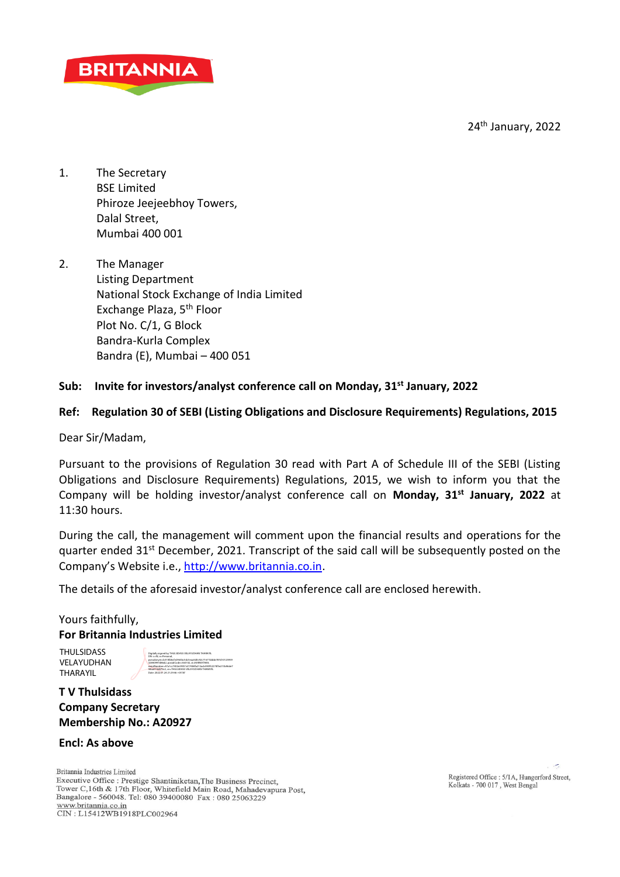24<sup>th</sup> January, 2022



- 1. The Secretary BSE Limited Phiroze Jeejeebhoy Towers, Dalal Street, Mumbai 400 001
- 2. The Manager Listing Department National Stock Exchange of India Limited Exchange Plaza, 5th Floor Plot No. C/1, G Block Bandra-Kurla Complex Bandra (E), Mumbai – 400 051

# **Sub: Invite for investors/analyst conference call on Monday, 31st January, 2022**

# **Ref: Regulation 30 of SEBI (Listing Obligations and Disclosure Requirements) Regulations, 2015**

Dear Sir/Madam,

Pursuant to the provisions of Regulation 30 read with Part A of Schedule III of the SEBI (Listing Obligations and Disclosure Requirements) Regulations, 2015, we wish to inform you that the Company will be holding investor/analyst conference call on **Monday, 31st January, 2022** at  $11:30$  hours.

During the call, the management will comment upon the financial results and operations for the quarter ended 31<sup>st</sup> December, 2021. Transcript of the said call will be subsequently posted on the Company's Website i.e., [http://www.britannia.co.in.](http://www.britannia.co.in/)

The details of the aforesaid investor/analyst conference call are enclosed herewith.

# Yours faithfully, **For Britannia Industries Limited**

**THULSIDASS** VELAYUDHAN THARAYIL

Digitally signed by THULSIDASS VELAYUDHAN THARAYIL DN: c=IN, o=Personal, pseudonym=b310fd6cfe2963bc5dc5eaa5d0c92c71671bbbb787d10125959 32840997d86d2, postalCode=560102, st=KARNATAKA, serialNumber=47a1cc7402e39351d17484fa212acb590f32274f5e215b96de7 58aa514d670c2, cn=THULSIDASS VELAYUDHAN THARAYIL

Date: 2022.01.24 21:29:46 +05'30'

# **T V Thulsidass Company Secretary Membership No.: A20927**

### **Encl: As above**

Britannia Industries Limited Executive Office : Prestige Shantiniketan, The Business Precinct, Tower C,16th & 17th Floor, Whitefield Main Road, Mahadevapura Post, Bangalore - 560048. Tel: 080 39400080 Fax: 080 25063229 www.britannia.co.in<br>CIN: L15412WB1918PLC002964